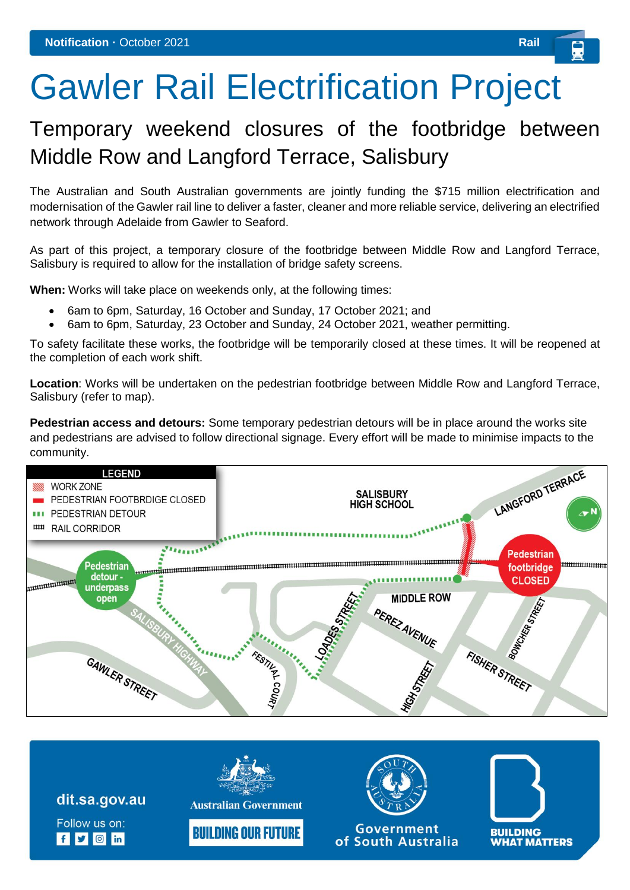## Gawler Rail Electrification Project

## Temporary weekend closures of the footbridge between Middle Row and Langford Terrace, Salisbury

The Australian and South Australian governments are jointly funding the \$715 million electrification and modernisation of the Gawler rail line to deliver a faster, cleaner and more reliable service, delivering an electrified network through Adelaide from Gawler to Seaford.

As part of this project, a temporary closure of the footbridge between Middle Row and Langford Terrace, Salisbury is required to allow for the installation of bridge safety screens.

**When:** Works will take place on weekends only, at the following times:

- 6am to 6pm, Saturday, 16 October and Sunday, 17 October 2021; and
- 6am to 6pm, Saturday, 23 October and Sunday, 24 October 2021, weather permitting.

To safety facilitate these works, the footbridge will be temporarily closed at these times. It will be reopened at the completion of each work shift.

**Location**: Works will be undertaken on the pedestrian footbridge between Middle Row and Langford Terrace, Salisbury (refer to map).

**Pedestrian access and detours:** Some temporary pedestrian detours will be in place around the works site and pedestrians are advised to follow directional signage. Every effort will be made to minimise impacts to the community.